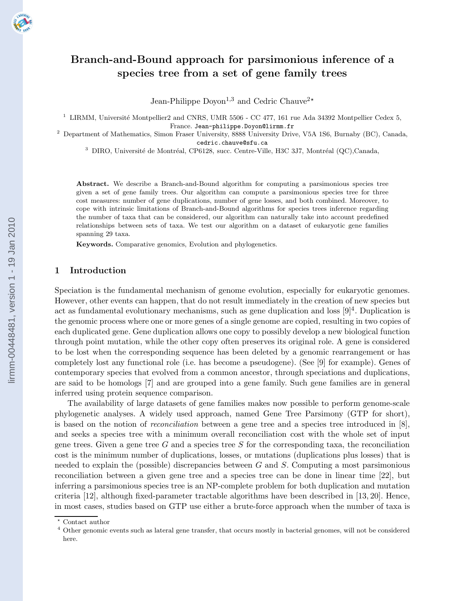# Branch-and-Bound approach for parsimonious inference of a species tree from a set of gene family trees

Jean-Philippe Doyon<sup>1,3</sup> and Cedric Chauve<sup>2\*</sup>

 $1$  LIRMM, Université Montpellier2 and CNRS, UMR 5506 - CC 477, 161 rue Ada 34392 Montpellier Cedex 5, France. Jean-philippe.Doyon@lirmm.fr

<sup>2</sup> Department of Mathematics, Simon Fraser University, 8888 University Drive, V5A 1S6, Burnaby (BC), Canada, cedric.chauve@sfu.ca

<sup>3</sup> DIRO, Université de Montréal, CP6128, succ. Centre-Ville, H3C 3J7, Montréal (QC),Canada,

Abstract. We describe a Branch-and-Bound algorithm for computing a parsimonious species tree given a set of gene family trees. Our algorithm can compute a parsimonious species tree for three cost measures: number of gene duplications, number of gene losses, and both combined. Moreover, to cope with intrinsic limitations of Branch-and-Bound algorithms for species trees inference regarding the number of taxa that can be considered, our algorithm can naturally take into account predefined relationships between sets of taxa. We test our algorithm on a dataset of eukaryotic gene families spanning 29 taxa.

Keywords. Comparative genomics, Evolution and phylogenetics.

#### 1 Introduction

Speciation is the fundamental mechanism of genome evolution, especially for eukaryotic genomes. However, other events can happen, that do not result immediately in the creation of new species but act as fundamental evolutionary mechanisms, such as gene duplication and loss  $[9]^4$ . Duplication is the genomic process where one or more genes of a single genome are copied, resulting in two copies of each duplicated gene. Gene duplication allows one copy to possibly develop a new biological function through point mutation, while the other copy often preserves its original role. A gene is considered to be lost when the corresponding sequence has been deleted by a genomic rearrangement or has completely lost any functional role (i.e. has become a pseudogene). (See [9] for example). Genes of contemporary species that evolved from a common ancestor, through speciations and duplications, are said to be homologs [7] and are grouped into a gene family. Such gene families are in general inferred using protein sequence comparison.

The availability of large datasets of gene families makes now possible to perform genome-scale phylogenetic analyses. A widely used approach, named Gene Tree Parsimony (GTP for short), is based on the notion of reconciliation between a gene tree and a species tree introduced in [8], and seeks a species tree with a minimum overall reconciliation cost with the whole set of input gene trees. Given a gene tree G and a species tree S for the corresponding taxa, the reconciliation cost is the minimum number of duplications, losses, or mutations (duplications plus losses) that is needed to explain the (possible) discrepancies between  $G$  and  $S$ . Computing a most parsimonious reconciliation between a given gene tree and a species tree can be done in linear time [22], but inferring a parsimonious species tree is an NP-complete problem for both duplication and mutation criteria [12], although fixed-parameter tractable algorithms have been described in [13, 20]. Hence, in most cases, studies based on GTP use either a brute-force approach when the number of taxa is

 $^\star$  Contact author

<sup>&</sup>lt;sup>4</sup> Other genomic events such as lateral gene transfer, that occurs mostly in bacterial genomes, will not be considered here.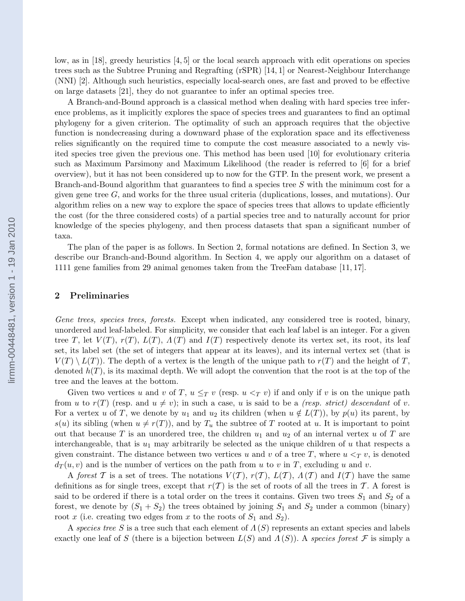low, as in [18], greedy heuristics [4, 5] or the local search approach with edit operations on species trees such as the Subtree Pruning and Regrafting (rSPR) [14, 1] or Nearest-Neighbour Interchange (NNI) [2]. Although such heuristics, especially local-search ones, are fast and proved to be effective on large datasets [21], they do not guarantee to infer an optimal species tree.

A Branch-and-Bound approach is a classical method when dealing with hard species tree inference problems, as it implicitly explores the space of species trees and guarantees to find an optimal phylogeny for a given criterion. The optimality of such an approach requires that the objective function is nondecreasing during a downward phase of the exploration space and its effectiveness relies significantly on the required time to compute the cost measure associated to a newly visited species tree given the previous one. This method has been used [10] for evolutionary criteria such as Maximum Parsimony and Maximum Likelihood (the reader is referred to [6] for a brief overview), but it has not been considered up to now for the GTP. In the present work, we present a Branch-and-Bound algorithm that guarantees to find a species tree  $S$  with the minimum cost for a given gene tree  $G$ , and works for the three usual criteria (duplications, losses, and mutations). Our algorithm relies on a new way to explore the space of species trees that allows to update efficiently the cost (for the three considered costs) of a partial species tree and to naturally account for prior knowledge of the species phylogeny, and then process datasets that span a significant number of taxa.

The plan of the paper is as follows. In Section 2, formal notations are defined. In Section 3, we describe our Branch-and-Bound algorithm. In Section 4, we apply our algorithm on a dataset of 1111 gene families from 29 animal genomes taken from the TreeFam database [11, 17].

# 2 Preliminaries

Gene trees, species trees, forests. Except when indicated, any considered tree is rooted, binary, unordered and leaf-labeled. For simplicity, we consider that each leaf label is an integer. For a given tree T, let  $V(T)$ ,  $r(T)$ ,  $L(T)$ ,  $\Lambda(T)$  and  $I(T)$  respectively denote its vertex set, its root, its leaf set, its label set (the set of integers that appear at its leaves), and its internal vertex set (that is  $V(T) \setminus L(T)$ . The depth of a vertex is the length of the unique path to  $r(T)$  and the height of T, denoted  $h(T)$ , is its maximal depth. We will adopt the convention that the root is at the top of the tree and the leaves at the bottom.

Given two vertices u and v of T,  $u \leq_T v$  (resp.  $u <_T v$ ) if and only if v is on the unique path from u to  $r(T)$  (resp. and  $u \neq v$ ); in such a case, u is said to be a *(resp. strict)* descendant of v. For a vertex u of T, we denote by  $u_1$  and  $u_2$  its children (when  $u \notin L(T)$ ), by  $p(u)$  its parent, by  $s(u)$  its sibling (when  $u \neq r(T)$ ), and by  $T_u$  the subtree of T rooted at u. It is important to point out that because T is an unordered tree, the children  $u_1$  and  $u_2$  of an internal vertex u of T are interchangeable, that is  $u_1$  may arbitrarily be selected as the unique children of u that respects a given constraint. The distance between two vertices u and v of a tree T, where  $u <_T v$ , is denoted  $d_T(u, v)$  and is the number of vertices on the path from u to v in T, excluding u and v.

A forest T is a set of trees. The notations  $V(T)$ ,  $r(T)$ ,  $L(T)$ ,  $\Lambda(T)$  and  $I(T)$  have the same definitions as for single trees, except that  $r(T)$  is the set of roots of all the trees in T. A forest is said to be ordered if there is a total order on the trees it contains. Given two trees  $S_1$  and  $S_2$  of a forest, we denote by  $(S_1 + S_2)$  the trees obtained by joining  $S_1$  and  $S_2$  under a common (binary) root x (i.e. creating two edges from x to the roots of  $S_1$  and  $S_2$ ).

A species tree S is a tree such that each element of  $\Lambda(S)$  represents an extant species and labels exactly one leaf of S (there is a bijection between  $L(S)$  and  $\Lambda(S)$ ). A species forest F is simply a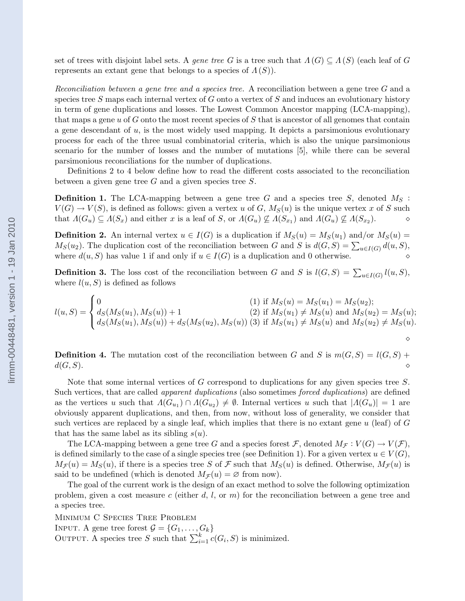set of trees with disjoint label sets. A gene tree G is a tree such that  $\Lambda(G) \subseteq \Lambda(S)$  (each leaf of G represents an extant gene that belongs to a species of  $\Lambda(S)$ .

Reconciliation between a gene tree and a species tree. A reconciliation between a gene tree G and a species tree  $S$  maps each internal vertex of  $G$  onto a vertex of  $S$  and induces an evolutionary history in term of gene duplications and losses. The Lowest Common Ancestor mapping (LCA-mapping), that maps a gene  $u$  of G onto the most recent species of S that is ancestor of all genomes that contain a gene descendant of  $u$ , is the most widely used mapping. It depicts a parsimonious evolutionary process for each of the three usual combinatorial criteria, which is also the unique parsimonious scenario for the number of losses and the number of mutations [5], while there can be several parsimonious reconciliations for the number of duplications.

Definitions 2 to 4 below define how to read the different costs associated to the reconciliation between a given gene tree  $G$  and a given species tree  $S$ .

**Definition 1.** The LCA-mapping between a gene tree G and a species tree S, denoted  $M_S$ :  $V(G) \to V(S)$ , is defined as follows: given a vertex u of G,  $M_S(u)$  is the unique vertex x of S such that  $\Lambda(G_u) \subseteq \Lambda(S_x)$  and either x is a leaf of S, or  $\Lambda(G_u) \not\subseteq \Lambda(S_{x_1})$  and  $\Lambda(G_u) \not\subseteq \Lambda(S_{x_2})$ .  $\diamond$ 

**Definition 2.** An internal vertex  $u \in I(G)$  is a duplication if  $M_S(u) = M_S(u_1)$  and/or  $M_S(u) =$  $M_S(u_2)$ . The duplication cost of the reconciliation between G and S is  $d(G, S) = \sum_{u \in I(G)} d(u, S)$ , where  $d(u, S)$  has value 1 if and only if  $u \in I(G)$  is a duplication and 0 otherwise.

**Definition 3.** The loss cost of the reconciliation between G and S is  $l(G, S) = \sum_{u \in I(G)} l(u, S)$ , where  $l(u, S)$  is defined as follows

$$
l(u, S) = \begin{cases} 0 & (1) \text{ if } M_S(u) = M_S(u_1) = M_S(u_2); \\ d_S(M_S(u_1), M_S(u)) + 1 & (2) \text{ if } M_S(u_1) \neq M_S(u) \text{ and } M_S(u_2) = M_S(u); \\ d_S(M_S(u_1), M_S(u)) + d_S(M_S(u_2), M_S(u)) & (3) \text{ if } M_S(u_1) \neq M_S(u) \text{ and } M_S(u_2) \neq M_S(u). \end{cases}
$$

**Definition 4.** The mutation cost of the reconciliation between G and S is  $m(G, S) = l(G, S) +$  $d(G, S)$ .

Note that some internal vertices of G correspond to duplications for any given species tree S. Such vertices, that are called apparent duplications (also sometimes forced duplications) are defined as the vertices u such that  $\Lambda(G_{u_1}) \cap \Lambda(G_{u_2}) \neq \emptyset$ . Internal vertices u such that  $|\Lambda(G_u)| = 1$  are obviously apparent duplications, and then, from now, without loss of generality, we consider that such vertices are replaced by a single leaf, which implies that there is no extant gene  $u$  (leaf) of  $G$ that has the same label as its sibling  $s(u)$ .

The LCA-mapping between a gene tree G and a species forest F, denoted  $M_{\mathcal{F}} : V(G) \to V(\mathcal{F}),$ is defined similarly to the case of a single species tree (see Definition 1). For a given vertex  $u \in V(G)$ ,  $M_{\mathcal{F}}(u) = M_{S}(u)$ , if there is a species tree S of F such that  $M_{S}(u)$  is defined. Otherwise,  $M_{\mathcal{F}}(u)$  is said to be undefined (which is denoted  $M_{\mathcal{F}}(u) = \varnothing$  from now).

The goal of the current work is the design of an exact method to solve the following optimization problem, given a cost measure c (either d, l, or  $m$ ) for the reconciliation between a gene tree and a species tree.

MINIMUM C SPECIES TREE PROBLEM INPUT. A gene tree forest  $\mathcal{G} = \{G_1, \ldots, G_k\}$ OUTPUT. A species tree S such that  $\sum_{i=1}^{k} c(G_i, S)$  is minimized.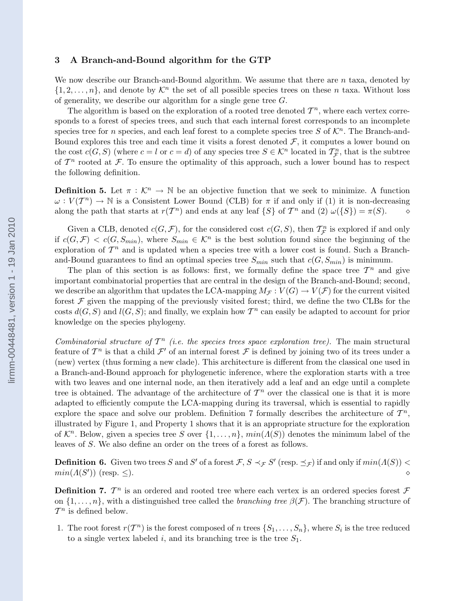#### 3 A Branch-and-Bound algorithm for the GTP

We now describe our Branch-and-Bound algorithm. We assume that there are  $n$  taxa, denoted by  $\{1, 2, \ldots, n\}$ , and denote by  $\mathcal{K}^n$  the set of all possible species trees on these n taxa. Without loss of generality, we describe our algorithm for a single gene tree  $G$ .

The algorithm is based on the exploration of a rooted tree denoted  $\mathcal{T}^n$ , where each vertex corresponds to a forest of species trees, and such that each internal forest corresponds to an incomplete species tree for n species, and each leaf forest to a complete species tree S of  $\mathcal{K}^n$ . The Branch-and-Bound explores this tree and each time it visits a forest denoted  $\mathcal{F}$ , it computes a lower bound on the cost  $c(G, S)$  (where  $c = l$  or  $c = d$ ) of any species tree  $S \in \mathcal{K}^n$  located in  $\mathcal{T}_{\mathcal{F}}^n$ , that is the subtree of  $\mathcal{T}^n$  rooted at  $\mathcal{F}$ . To ensure the optimality of this approach, such a lower bound has to respect the following definition.

**Definition 5.** Let  $\pi : \mathcal{K}^n \to \mathbb{N}$  be an objective function that we seek to minimize. A function  $\omega: V(\mathcal{T}^n) \to \mathbb{N}$  is a Consistent Lower Bound (CLB) for  $\pi$  if and only if (1) it is non-decreasing along the path that starts at  $r(T^n)$  and ends at any leaf  $\{S\}$  of  $T^n$  and  $(2) \omega(\{S\}) = \pi(S)$ .  $\diamond$ 

Given a CLB, denoted  $c(G, \mathcal{F})$ , for the considered cost  $c(G, S)$ , then  $\mathcal{T}_{\mathcal{F}}^n$  is explored if and only if  $c(G, \mathcal{F}) < c(G, S_{min})$ , where  $S_{min} \in \mathcal{K}^n$  is the best solution found since the beginning of the exploration of  $\mathcal{T}^n$  and is updated when a species tree with a lower cost is found. Such a Branchand-Bound guarantees to find an optimal species tree  $S_{min}$  such that  $c(G, S_{min})$  is minimum.

The plan of this section is as follows: first, we formally define the space tree  $\mathcal{T}^n$  and give important combinatorial properties that are central in the design of the Branch-and-Bound; second, we describe an algorithm that updates the LCA-mapping  $M_{\mathcal{F}} : V(G) \to V(\mathcal{F})$  for the current visited forest  $\mathcal F$  given the mapping of the previously visited forest; third, we define the two CLBs for the costs  $d(G, S)$  and  $l(G, S)$ ; and finally, we explain how  $\mathcal{T}^n$  can easily be adapted to account for prior knowledge on the species phylogeny.

Combinatorial structure of  $T^n$  (i.e. the species trees space exploration tree). The main structural feature of  $\mathcal{T}^n$  is that a child  $\mathcal{F}'$  of an internal forest  $\mathcal F$  is defined by joining two of its trees under a (new) vertex (thus forming a new clade). This architecture is different from the classical one used in a Branch-and-Bound approach for phylogenetic inference, where the exploration starts with a tree with two leaves and one internal node, an then iteratively add a leaf and an edge until a complete tree is obtained. The advantage of the architecture of  $\mathcal{T}^n$  over the classical one is that it is more adapted to efficiently compute the LCA-mapping during its traversal, which is essential to rapidly explore the space and solve our problem. Definition 7 formally describes the architecture of  $\mathcal{T}^n$ , illustrated by Figure 1, and Property 1 shows that it is an appropriate structure for the exploration of  $\mathcal{K}^n$ . Below, given a species tree S over  $\{1,\ldots,n\}$ ,  $min(\Lambda(S))$  denotes the minimum label of the leaves of S. We also define an order on the trees of a forest as follows.

**Definition 6.** Given two trees S and S' of a forest  $\mathcal{F}, S \prec_{\mathcal{F}} S'$  (resp.  $\preceq_{\mathcal{F}}$ ) if and only if  $min(A(S))$  $min(\Lambda(S'))$  (resp.  $\leq$ ).

**Definition 7.**  $T^n$  is an ordered and rooted tree where each vertex is an ordered species forest  $\mathcal F$ on  $\{1,\ldots,n\}$ , with a distinguished tree called the *branching tree*  $\beta(\mathcal{F})$ . The branching structure of  $\mathcal{T}^n$  is defined below.

1. The root forest  $r(T^n)$  is the forest composed of n trees  $\{S_1, \ldots, S_n\}$ , where  $S_i$  is the tree reduced to a single vertex labeled i, and its branching tree is the tree  $S_1$ .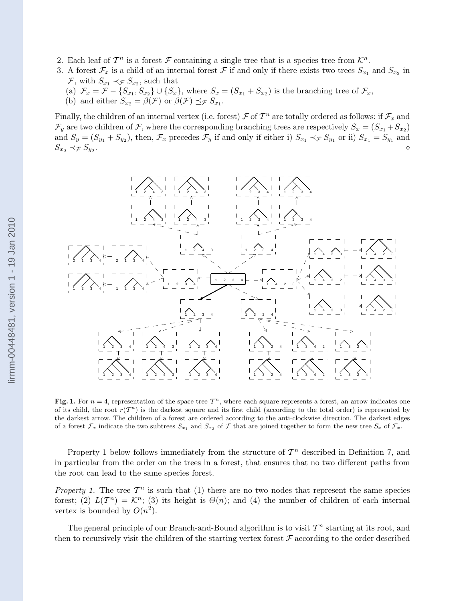- 2. Each leaf of  $\mathcal{T}^n$  is a forest  $\mathcal F$  containing a single tree that is a species tree from  $\mathcal{K}^n$ .
- 3. A forest  $\mathcal{F}_x$  is a child of an internal forest  $\mathcal F$  if and only if there exists two trees  $S_{x_1}$  and  $S_{x_2}$  in  $\mathcal{F}$ , with  $S_{x_1} \prec_{\mathcal{F}} S_{x_2}$ , such that
	- (a)  $\mathcal{F}_x = \mathcal{F} \{S_{x_1}, S_{x_2}\} \cup \{S_x\}$ , where  $S_x = (S_{x_1} + S_{x_2})$  is the branching tree of  $\mathcal{F}_x$ ,
	- (b) and either  $S_{x_2} = \beta(\mathcal{F})$  or  $\beta(\mathcal{F}) \preceq_{\mathcal{F}} S_{x_1}$ .

Finally, the children of an internal vertex (i.e. forest)  $\mathcal F$  of  $\mathcal T^n$  are totally ordered as follows: if  $\mathcal F_x$  and  $\mathcal{F}_y$  are two children of  $\mathcal{F}$ , where the corresponding branching trees are respectively  $S_x = (S_{x_1} + S_{x_2})$ and  $S_y = (S_{y_1} + S_{y_2})$ , then,  $\mathcal{F}_x$  precedes  $\mathcal{F}_y$  if and only if either i)  $S_{x_1} \prec_{\mathcal{F}} S_{y_1}$  or ii)  $S_{x_1} = S_{y_1}$  and  $S_{x_2} \prec_{\mathcal{F}} S_{y_2}$ . .  $\Diamond$ 



Fig. 1. For  $n = 4$ , representation of the space tree  $T<sup>n</sup>$ , where each square represents a forest, an arrow indicates one of its child, the root  $r(T^n)$  is the darkest square and its first child (according to the total order) is represented by the darkest arrow. The children of a forest are ordered according to the anti-clockwise direction. The darkest edges of a forest  $\mathcal{F}_x$  indicate the two subtrees  $S_{x_1}$  and  $S_{x_2}$  of  $\mathcal F$  that are joined together to form the new tree  $S_x$  of  $\mathcal{F}_x$ .

Property 1 below follows immediately from the structure of  $\mathcal{T}^n$  described in Definition 7, and in particular from the order on the trees in a forest, that ensures that no two different paths from the root can lead to the same species forest.

Property 1. The tree  $\mathcal{T}^n$  is such that (1) there are no two nodes that represent the same species forest; (2)  $L(T^n) = \mathcal{K}^n$ ; (3) its height is  $\Theta(n)$ ; and (4) the number of children of each internal vertex is bounded by  $O(n^2)$ .

The general principle of our Branch-and-Bound algorithm is to visit  $\mathcal{T}^n$  starting at its root, and then to recursively visit the children of the starting vertex forest  $\mathcal F$  according to the order described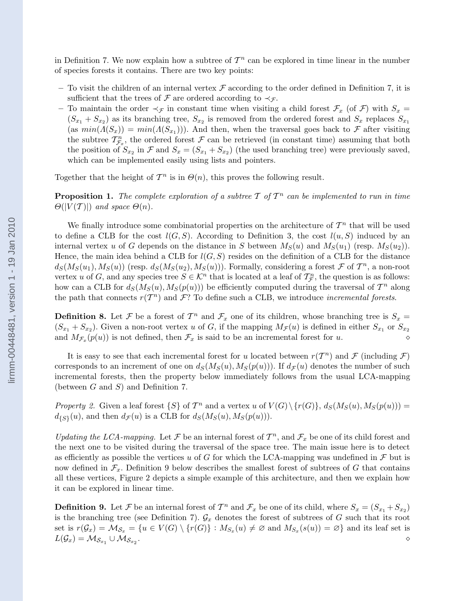in Definition 7. We now explain how a subtree of  $\mathcal{T}^n$  can be explored in time linear in the number of species forests it contains. There are two key points:

- To visit the children of an internal vertex  $\mathcal F$  according to the order defined in Definition 7, it is sufficient that the trees of  $\mathcal F$  are ordered according to  $\prec_{\mathcal F}$ .
- To maintain the order  $\prec_{\mathcal{F}}$  in constant time when visiting a child forest  $\mathcal{F}_x$  (of  $\mathcal{F}$ ) with  $S_x$  $(S_{x_1} + S_{x_2})$  as its branching tree,  $S_{x_2}$  is removed from the ordered forest and  $S_x$  replaces  $S_{x_1}$  $(\text{as } min(A(S_x)) = min(A(S_{x_1})))$ . And then, when the traversal goes back to F after visiting the subtree  $\mathcal{T}_{\mathcal{F}_x}^n$ , the ordered forest  $\mathcal F$  can be retrieved (in constant time) assuming that both the position of  $S_{x_2}$  in  $\mathcal F$  and  $S_x = (S_{x_1} + S_{x_2})$  (the used branching tree) were previously saved, which can be implemented easily using lists and pointers.

Together that the height of  $\mathcal{T}^n$  is in  $\Theta(n)$ , this proves the following result.

**Proposition 1.** The complete exploration of a subtree T of  $T^n$  can be implemented to run in time  $\Theta(|V(\mathcal{T})|)$  and space  $\Theta(n)$ .

We finally introduce some combinatorial properties on the architecture of  $\mathcal{T}^n$  that will be used to define a CLB for the cost  $l(G, S)$ . According to Definition 3, the cost  $l(u, S)$  induced by an internal vertex u of G depends on the distance in S between  $M_S(u)$  and  $M_S(u_1)$  (resp.  $M_S(u_2)$ ). Hence, the main idea behind a CLB for  $l(G, S)$  resides on the definition of a CLB for the distance  $d_S(M_S(u_1), M_S(u))$  (resp.  $d_S(M_S(u_2), M_S(u))$ ). Formally, considering a forest  $\mathcal F$  of  $\mathcal T^n$ , a non-root vertex u of G, and any species tree  $S \in \mathcal{K}^n$  that is located at a leaf of  $\mathcal{T}_{\mathcal{F}}^n$ , the question is as follows: how can a CLB for  $d_S(M_S(u), M_S(p(u)))$  be efficiently computed during the traversal of  $\mathcal{T}^n$  along the path that connects  $r(T^n)$  and  $\mathcal{F}$ ? To define such a CLB, we introduce *incremental forests*.

**Definition 8.** Let F be a forest of  $T^n$  and  $\mathcal{F}_x$  one of its children, whose branching tree is  $S_x$  =  $(S_{x_1} + S_{x_2})$ . Given a non-root vertex u of G, if the mapping  $M_{\mathcal{F}}(u)$  is defined in either  $S_{x_1}$  or  $S_{x_2}$ and  $M_{\mathcal{F}_x}(p(u))$  is not defined, then  $\mathcal{F}_x$  is said to be an incremental forest for u.

It is easy to see that each incremental forest for u located between  $r(T^n)$  and F (including F) corresponds to an increment of one on  $d_S(M_S(u), M_S(p(u)))$ . If  $d_{\mathcal{F}}(u)$  denotes the number of such incremental forests, then the property below immediately follows from the usual LCA-mapping (between  $G$  and  $S$ ) and Definition 7.

Property 2. Given a leaf forest  $\{S\}$  of  $\mathcal{T}^n$  and a vertex u of  $V(G) \setminus \{r(G)\}, d_S(M_S(u), M_S(p(u))) =$  $d_{\{S\}}(u)$ , and then  $d_{\mathcal{F}}(u)$  is a CLB for  $d_S(M_S(u), M_S(p(u)))$ .

Updating the LCA-mapping. Let F be an internal forest of  $T^n$ , and  $\mathcal{F}_x$  be one of its child forest and the next one to be visited during the traversal of the space tree. The main issue here is to detect as efficiently as possible the vertices u of G for which the LCA-mapping was undefined in  $\mathcal F$  but is now defined in  $\mathcal{F}_x$ . Definition 9 below describes the smallest forest of subtrees of G that contains all these vertices, Figure 2 depicts a simple example of this architecture, and then we explain how it can be explored in linear time.

**Definition 9.** Let F be an internal forest of  $T^n$  and  $\mathcal{F}_x$  be one of its child, where  $S_x = (S_{x_1} + S_{x_2})$ is the branching tree (see Definition 7).  $\mathcal{G}_x$  denotes the forest of subtrees of G such that its root set is  $r(G_x) = M_{\mathcal{S}_x} = \{u \in V(G) \setminus \{r(G)\} : M_{\mathcal{S}_x}(u) \neq \emptyset \text{ and } M_{\mathcal{S}_x}(s(u)) = \emptyset\}$  and its leaf set is  $L(\mathcal{G}_x) = \mathcal{M}_{\mathcal{S}_{x_1}} \cup \mathcal{M}_{\mathcal{S}_{x_2}}$  $\bullet$   $\diamond$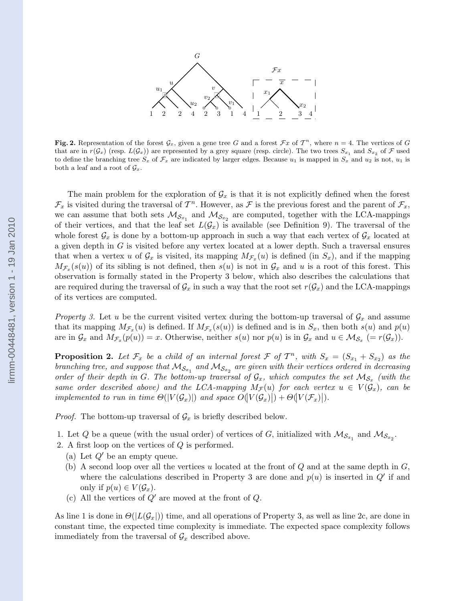

Fig. 2. Representation of the forest  $\mathcal{G}_x$ , given a gene tree G and a forest  $\mathcal{F}x$  of  $T^n$ , where  $n=4$ . The vertices of G that are in  $r(G_x)$  (resp.  $L(G_x)$ ) are represented by a grey square (resp. circle). The two trees  $S_{x_1}$  and  $S_{x_2}$  of F used to define the branching tree  $S_x$  of  $\mathcal{F}_x$  are indicated by larger edges. Because  $u_1$  is mapped in  $S_x$  and  $u_2$  is not,  $u_1$  is both a leaf and a root of  $\mathcal{G}_x$ .

The main problem for the exploration of  $\mathcal{G}_x$  is that it is not explicitly defined when the forest  $\mathcal{F}_x$  is visited during the traversal of  $\mathcal{T}^n$ . However, as  $\mathcal F$  is the previous forest and the parent of  $\mathcal{F}_x$ , we can assume that both sets  $\mathcal{M}_{S_{x_1}}$  and  $\mathcal{M}_{S_{x_2}}$  are computed, together with the LCA-mappings of their vertices, and that the leaf set  $L(G_x)$  is available (see Definition 9). The traversal of the whole forest  $\mathcal{G}_x$  is done by a bottom-up approach in such a way that each vertex of  $\mathcal{G}_x$  located at a given depth in G is visited before any vertex located at a lower depth. Such a traversal ensures that when a vertex u of  $\mathcal{G}_x$  is visited, its mapping  $M_{\mathcal{F}_x}(u)$  is defined (in  $S_x$ ), and if the mapping  $M_{\mathcal{F}_x}(s(u))$  of its sibling is not defined, then  $s(u)$  is not in  $\mathcal{G}_x$  and u is a root of this forest. This observation is formally stated in the Property 3 below, which also describes the calculations that are required during the traversal of  $\mathcal{G}_x$  in such a way that the root set  $r(\mathcal{G}_x)$  and the LCA-mappings of its vertices are computed.

Property 3. Let u be the current visited vertex during the bottom-up traversal of  $\mathcal{G}_x$  and assume that its mapping  $M_{\mathcal{F}_x}(u)$  is defined. If  $M_{\mathcal{F}_x}(s(u))$  is defined and is in  $S_x$ , then both  $s(u)$  and  $p(u)$ are in  $\mathcal{G}_x$  and  $M_{\mathcal{F}_x}(p(u)) = x$ . Otherwise, neither  $s(u)$  nor  $p(u)$  is in  $\mathcal{G}_x$  and  $u \in \mathcal{M}_{\mathcal{S}_x}$   $(= r(\mathcal{G}_x))$ .

**Proposition 2.** Let  $\mathcal{F}_x$  be a child of an internal forest  $\mathcal{F}$  of  $T^n$ , with  $S_x = (S_{x_1} + S_{x_2})$  as the branching tree, and suppose that  $\mathcal{M}_{\mathcal{S}_{x_1}}$  and  $\mathcal{M}_{\mathcal{S}_{x_2}}$  are given with their vertices ordered in decreasing order of their depth in G. The bottom-up traversal of  $\mathcal{G}_x$ , which computes the set  $\mathcal{M}_{\mathcal{S}_x}$  (with the same order described above) and the LCA-mapping  $M_{\mathcal{F}}(u)$  for each vertex  $u \in V(\mathcal{G}_x)$ , can be implemented to run in time  $\Theta(|V(\mathcal{G}_x)|)$  and space  $O(|V(\mathcal{G}_x)|) + \Theta(|V(\mathcal{F}_x)|)$ .

*Proof.* The bottom-up traversal of  $\mathcal{G}_x$  is briefly described below.

1. Let Q be a queue (with the usual order) of vertices of G, initialized with  $\mathcal{M}_{S_{x_1}}$  and  $\mathcal{M}_{S_{x_2}}$ .

- 2. A first loop on the vertices of Q is performed.
	- (a) Let  $Q'$  be an empty queue.
	- (b) A second loop over all the vertices u located at the front of  $Q$  and at the same depth in  $G$ , where the calculations described in Property 3 are done and  $p(u)$  is inserted in  $Q'$  if and only if  $p(u) \in V(\mathcal{G}_x)$ .
	- (c) All the vertices of  $Q'$  are moved at the front of  $Q$ .

As line 1 is done in  $\Theta(|L(\mathcal{G}_x|))$  time, and all operations of Property 3, as well as line 2c, are done in constant time, the expected time complexity is immediate. The expected space complexity follows immediately from the traversal of  $\mathcal{G}_x$  described above.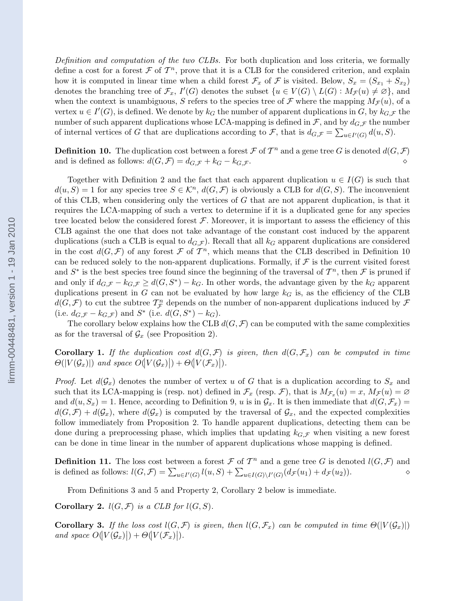Definition and computation of the two CLBs. For both duplication and loss criteria, we formally define a cost for a forest  $\mathcal F$  of  $\mathcal T^n$ , prove that it is a CLB for the considered criterion, and explain how it is computed in linear time when a child forest  $\mathcal{F}_x$  of  $\mathcal{F}$  is visited. Below,  $S_x = (S_{x_1} + S_{x_2})$ denotes the branching tree of  $\mathcal{F}_x$ ,  $I'(G)$  denotes the subset  $\{u \in V(G) \setminus L(G) : M_{\mathcal{F}}(u) \neq \emptyset\}$ , and when the context is unambiguous, S refers to the species tree of F where the mapping  $M_{\mathcal{F}}(u)$ , of a vertex  $u \in I'(G)$ , is defined. We denote by  $k_G$  the number of apparent duplications in G, by  $k_{G,\mathcal{F}}$  the number of such apparent duplications whose LCA-mapping is defined in  $\mathcal{F}$ , and by  $d_{G,\mathcal{F}}$  the number of internal vertices of G that are duplications according to F, that is  $d_{G,\mathcal{F}} = \sum_{u \in I'(G)} d(u, S)$ .

**Definition 10.** The duplication cost between a forest  $\mathcal F$  of  $T^n$  and a gene tree G is denoted  $d(G, \mathcal F)$ and is defined as follows:  $d(G, \mathcal{F}) = d_{G, \mathcal{F}} + k_G - k_{G, \mathcal{F}}$ .

Together with Definition 2 and the fact that each apparent duplication  $u \in I(G)$  is such that  $d(u, S) = 1$  for any species tree  $S \in \mathcal{K}^n$ ,  $d(G, \mathcal{F})$  is obviously a CLB for  $d(G, S)$ . The inconvenient of this CLB, when considering only the vertices of  $G$  that are not apparent duplication, is that it requires the LCA-mapping of such a vertex to determine if it is a duplicated gene for any species tree located below the considered forest  $\mathcal F$ . Moreover, it is important to assess the efficiency of this CLB against the one that does not take advantage of the constant cost induced by the apparent duplications (such a CLB is equal to  $d_{G,\mathcal{F}}$ ). Recall that all  $k_G$  apparent duplications are considered in the cost  $d(G, \mathcal{F})$  of any forest  $\mathcal{F}$  of  $\mathcal{T}^n$ , which means that the CLB described in Definition 10 can be reduced solely to the non-apparent duplications. Formally, if  $\mathcal F$  is the current visited forest and  $S^*$  is the best species tree found since the beginning of the traversal of  $\mathcal{T}^n$ , then  $\mathcal F$  is pruned if and only if  $d_{G,\mathcal{F}} - k_{G,\mathcal{F}} \geq d(G, S^*) - k_G$ . In other words, the advantage given by the  $k_G$  apparent duplications present in G can not be evaluated by how large  $k<sub>G</sub>$  is, as the efficiency of the CLB  $d(G, \mathcal{F})$  to cut the subtree  $\mathcal{T}_{\mathcal{F}}^n$  depends on the number of non-apparent duplications induced by  $\mathcal{F}$ (i.e.  $d_{G,\mathcal{F}} - k_{G,\mathcal{F}}$ ) and  $S^*$  (i.e.  $d(G, S^*) - k_G$ ).

The corollary below explains how the CLB  $d(G, \mathcal{F})$  can be computed with the same complexities as for the traversal of  $\mathcal{G}_x$  (see Proposition 2).

**Corollary 1.** If the duplication cost  $d(G, \mathcal{F})$  is given, then  $d(G, \mathcal{F}_x)$  can be computed in time  $\Theta(|V(\mathcal{G}_x)|)$  and space  $O(|V(\mathcal{G}_x)|) + \Theta(|V(\mathcal{F}_x)|)$ .

*Proof.* Let  $d(G_x)$  denotes the number of vertex u of G that is a duplication according to  $S_x$  and such that its LCA-mapping is (resp. not) defined in  $\mathcal{F}_x$  (resp.  $\mathcal{F}$ ), that is  $M_{\mathcal{F}_x}(u) = x$ ,  $M_{\mathcal{F}}(u) = \emptyset$ and  $d(u, S_x) = 1$ . Hence, according to Definition 9, u is in  $\mathcal{G}_x$ . It is then immediate that  $d(G, \mathcal{F}_x) =$  $d(G,\mathcal{F}) + d(\mathcal{G}_x)$ , where  $d(\mathcal{G}_x)$  is computed by the traversal of  $\mathcal{G}_x$ , and the expected complexities follow immediately from Proposition 2. To handle apparent duplications, detecting them can be done during a preprocessing phase, which implies that updating  $k_{G,\mathcal{F}}$  when visiting a new forest can be done in time linear in the number of apparent duplications whose mapping is defined.

**Definition 11.** The loss cost between a forest  $\mathcal F$  of  $T^n$  and a gene tree G is denoted  $l(G, \mathcal F)$  and is defined as follows:  $l(G, \mathcal{F}) = \sum_{u \in I'(G)} l(u, S) + \sum_{u \in I(G) \setminus I'(G)} (d_{\mathcal{F}}(u_1) + d_{\mathcal{F}}(u_2)).$ 

From Definitions 3 and 5 and Property 2, Corollary 2 below is immediate.

**Corollary 2.**  $l(G, \mathcal{F})$  is a CLB for  $l(G, S)$ .

**Corollary 3.** If the loss cost  $l(G, \mathcal{F})$  is given, then  $l(G, \mathcal{F}_x)$  can be computed in time  $\Theta(|V(\mathcal{G}_x)|)$ and space  $O(|V(\mathcal{G}_x)|) + \Theta(|V(\mathcal{F}_x)|)$ .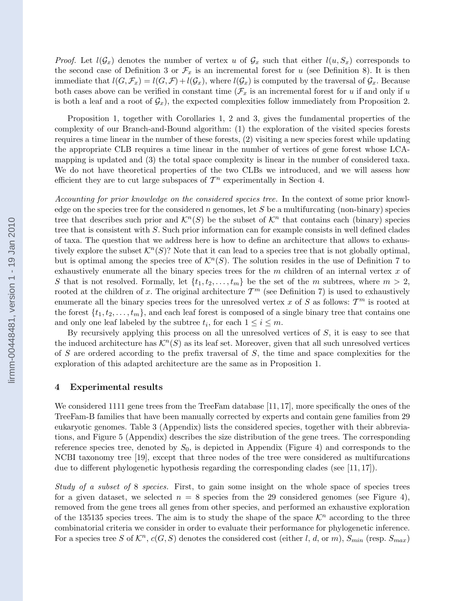*Proof.* Let  $l(G_x)$  denotes the number of vertex u of  $G_x$  such that either  $l(u, S_x)$  corresponds to the second case of Definition 3 or  $\mathcal{F}_x$  is an incremental forest for u (see Definition 8). It is then immediate that  $l(G, \mathcal{F}_x) = l(G, \mathcal{F}) + l(\mathcal{G}_x)$ , where  $l(\mathcal{G}_x)$  is computed by the traversal of  $\mathcal{G}_x$ . Because both cases above can be verified in constant time  $(\mathcal{F}_x)$  is an incremental forest for u if and only if u is both a leaf and a root of  $\mathcal{G}_x$ , the expected complexities follow immediately from Proposition 2.

Proposition 1, together with Corollaries 1, 2 and 3, gives the fundamental properties of the complexity of our Branch-and-Bound algorithm: (1) the exploration of the visited species forests requires a time linear in the number of these forests, (2) visiting a new species forest while updating the appropriate CLB requires a time linear in the number of vertices of gene forest whose LCAmapping is updated and (3) the total space complexity is linear in the number of considered taxa. We do not have theoretical properties of the two CLBs we introduced, and we will assess how efficient they are to cut large subspaces of  $\mathcal{T}^n$  experimentally in Section 4.

Accounting for prior knowledge on the considered species tree. In the context of some prior knowledge on the species tree for the considered n genomes, let S be a multifurcating (non-binary) species tree that describes such prior and  $\mathcal{K}^n(S)$  be the subset of  $\mathcal{K}^n$  that contains each (binary) species tree that is consistent with S. Such prior information can for example consists in well defined clades of taxa. The question that we address here is how to define an architecture that allows to exhaustively explore the subset  $\mathcal{K}^n(S)$ ? Note that it can lead to a species tree that is not globally optimal, but is optimal among the species tree of  $\mathcal{K}^n(S)$ . The solution resides in the use of Definition 7 to exhaustively enumerate all the binary species trees for the  $m$  children of an internal vertex  $x$  of S that is not resolved. Formally, let  $\{t_1, t_2, \ldots, t_m\}$  be the set of the m subtrees, where  $m > 2$ , rooted at the children of x. The original architecture  $\mathcal{T}^m$  (see Definition 7) is used to exhaustively enumerate all the binary species trees for the unresolved vertex x of S as follows:  $\mathcal{T}^m$  is rooted at the forest  $\{t_1, t_2, \ldots, t_m\}$ , and each leaf forest is composed of a single binary tree that contains one and only one leaf labeled by the subtree  $t_i$ , for each  $1 \leq i \leq m$ .

By recursively applying this process on all the unresolved vertices of S, it is easy to see that the induced architecture has  $\mathcal{K}^n(S)$  as its leaf set. Moreover, given that all such unresolved vertices of S are ordered according to the prefix traversal of  $S$ , the time and space complexities for the exploration of this adapted architecture are the same as in Proposition 1.

#### 4 Experimental results

We considered 1111 gene trees from the TreeFam database [11, 17], more specifically the ones of the TreeFam-B families that have been manually corrected by experts and contain gene families from 29 eukaryotic genomes. Table 3 (Appendix) lists the considered species, together with their abbreviations, and Figure 5 (Appendix) describes the size distribution of the gene trees. The corresponding reference species tree, denoted by  $S_0$ , is depicted in Appendix (Figure 4) and corresponds to the NCBI taxonomy tree [19], except that three nodes of the tree were considered as multifurcations due to different phylogenetic hypothesis regarding the corresponding clades (see [11, 17]).

Study of a subset of 8 species. First, to gain some insight on the whole space of species trees for a given dataset, we selected  $n = 8$  species from the 29 considered genomes (see Figure 4), removed from the gene trees all genes from other species, and performed an exhaustive exploration of the 135135 species trees. The aim is to study the shape of the space  $\mathcal{K}^n$  according to the three combinatorial criteria we consider in order to evaluate their performance for phylogenetic inference. For a species tree S of  $\mathcal{K}^n$ ,  $c(G, S)$  denotes the considered cost (either l, d, or m),  $S_{min}$  (resp.  $S_{max}$ )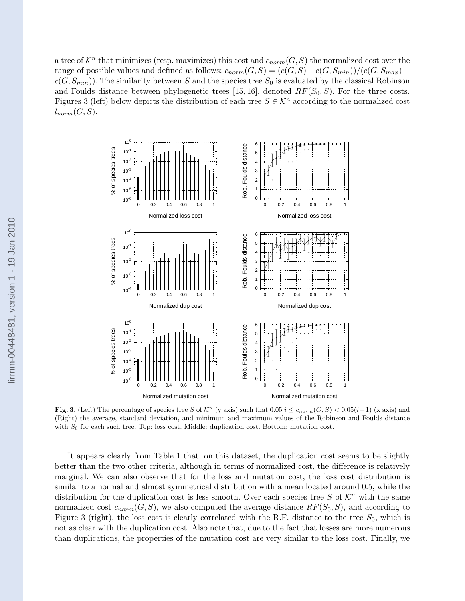a tree of  $\mathcal{K}^n$  that minimizes (resp. maximizes) this cost and  $c_{norm}(G, S)$  the normalized cost over the range of possible values and defined as follows:  $c_{norm}(G, S) = (c(G, S) - c(G, S_{min}))/(c(G, S_{max}) - c(G, S_{max})$  $c(G, S_{min})$ ). The similarity between S and the species tree  $S_0$  is evaluated by the classical Robinson and Foulds distance between phylogenetic trees [15, 16], denoted  $RF(S_0, S)$ . For the three costs, Figures 3 (left) below depicts the distribution of each tree  $S \in \mathcal{K}^n$  according to the normalized cost  $l_{norm}(G, S)$ .



Fig. 3. (Left) The percentage of species tree S of  $\mathcal{K}^n$  (y axis) such that  $0.05$  i  $\leq c_{norm}(G, S) < 0.05(i+1)$  (x axis) and (Right) the average, standard deviation, and minimum and maximum values of the Robinson and Foulds distance with  $S_0$  for each such tree. Top: loss cost. Middle: duplication cost. Bottom: mutation cost.

It appears clearly from Table 1 that, on this dataset, the duplication cost seems to be slightly better than the two other criteria, although in terms of normalized cost, the difference is relatively marginal. We can also observe that for the loss and mutation cost, the loss cost distribution is similar to a normal and almost symmetrical distribution with a mean located around 0.5, while the distribution for the duplication cost is less smooth. Over each species tree S of  $\mathcal{K}^n$  with the same normalized cost  $c_{norm}(G, S)$ , we also computed the average distance  $RF(S_0, S)$ , and according to Figure 3 (right), the loss cost is clearly correlated with the R.F. distance to the tree  $S_0$ , which is not as clear with the duplication cost. Also note that, due to the fact that losses are more numerous than duplications, the properties of the mutation cost are very similar to the loss cost. Finally, we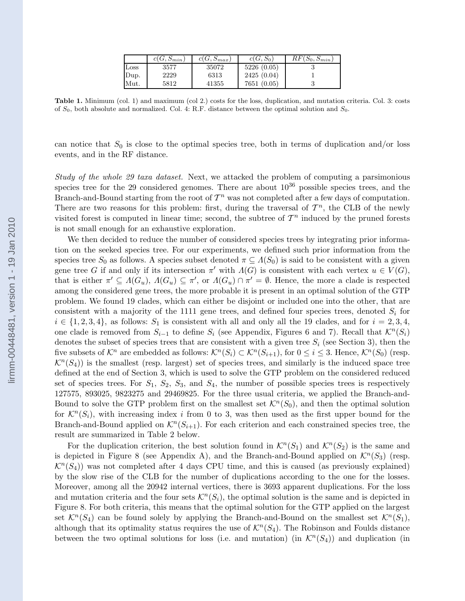|                  | $c(G, S_{min})$ | $c(G, S_{max})$ | $c(G, S_0)$ | $RF(S_0, S_{min})$ |
|------------------|-----------------|-----------------|-------------|--------------------|
| $_{\text{Loss}}$ | 3577            | 35072           | 5226(0.05)  |                    |
| Dup.             | 2229            | 6313            | 2425(0.04)  |                    |
| Mut.             | 5812            | 41355           | 7651 (0.05) |                    |

Table 1. Minimum (col. 1) and maximum (col 2.) costs for the loss, duplication, and mutation criteria. Col. 3: costs of  $S_0$ , both absolute and normalized. Col. 4: R.F. distance between the optimal solution and  $S_0$ .

can notice that  $S_0$  is close to the optimal species tree, both in terms of duplication and/or loss events, and in the RF distance.

Study of the whole 29 taxa dataset. Next, we attacked the problem of computing a parsimonious species tree for the 29 considered genomes. There are about  $10^{36}$  possible species trees, and the Branch-and-Bound starting from the root of  $\mathcal{T}^n$  was not completed after a few days of computation. There are two reasons for this problem: first, during the traversal of  $\mathcal{T}^n$ , the CLB of the newly visited forest is computed in linear time; second, the subtree of  $\mathcal{T}^n$  induced by the pruned forests is not small enough for an exhaustive exploration.

We then decided to reduce the number of considered species trees by integrating prior information on the seeked species tree. For our experiments, we defined such prior information from the species tree  $S_0$  as follows. A species subset denoted  $\pi \subseteq \Lambda(S_0)$  is said to be consistent with a given gene tree G if and only if its intersection  $\pi'$  with  $\Lambda(G)$  is consistent with each vertex  $u \in V(G)$ , that is either  $\pi' \subseteq \Lambda(G_u)$ ,  $\Lambda(G_u) \subseteq \pi'$ , or  $\Lambda(G_u) \cap \pi' = \emptyset$ . Hence, the more a clade is respected among the considered gene trees, the more probable it is present in an optimal solution of the GTP problem. We found 19 clades, which can either be disjoint or included one into the other, that are consistent with a majority of the 1111 gene trees, and defined four species trees, denoted  $S_i$  for  $i \in \{1, 2, 3, 4\}$ , as follows:  $S_1$  is consistent with all and only all the 19 clades, and for  $i = 2, 3, 4$ , one clade is removed from  $S_{i-1}$  to define  $S_i$  (see Appendix, Figures 6 and 7). Recall that  $\mathcal{K}^n(S_i)$ denotes the subset of species trees that are consistent with a given tree  $S_i$  (see Section 3), then the five subsets of  $\mathcal{K}^n$  are embedded as follows:  $\mathcal{K}^n(S_i) \subset \mathcal{K}^n(S_{i+1}),$  for  $0 \leq i \leq 3$ . Hence,  $\mathcal{K}^n(S_0)$  (resp.  $\mathcal{K}^n(S_4)$ ) is the smallest (resp. largest) set of species trees, and similarly is the induced space tree defined at the end of Section 3, which is used to solve the GTP problem on the considered reduced set of species trees. For  $S_1$ ,  $S_2$ ,  $S_3$ , and  $S_4$ , the number of possible species trees is respectively 127575, 893025, 9823275 and 29469825. For the three usual criteria, we applied the Branch-and-Bound to solve the GTP problem first on the smallest set  $\mathcal{K}^n(S_0)$ , and then the optimal solution for  $\mathcal{K}^n(S_i)$ , with increasing index i from 0 to 3, was then used as the first upper bound for the Branch-and-Bound applied on  $\mathcal{K}^n(S_{i+1})$ . For each criterion and each constrained species tree, the result are summarized in Table 2 below.

For the duplication criterion, the best solution found in  $\mathcal{K}^n(S_1)$  and  $\mathcal{K}^n(S_2)$  is the same and is depicted in Figure 8 (see Appendix A), and the Branch-and-Bound applied on  $\mathcal{K}^n(S_3)$  (resp.  $\mathcal{K}^n(S_4)$ ) was not completed after 4 days CPU time, and this is caused (as previously explained) by the slow rise of the CLB for the number of duplications according to the one for the losses. Moreover, among all the 20942 internal vertices, there is 3693 apparent duplications. For the loss and mutation criteria and the four sets  $\mathcal{K}^n(S_i)$ , the optimal solution is the same and is depicted in Figure 8. For both criteria, this means that the optimal solution for the GTP applied on the largest set  $\mathcal{K}^n(S_4)$  can be found solely by applying the Branch-and-Bound on the smallest set  $\mathcal{K}^n(S_1)$ , although that its optimality status requires the use of  $\mathcal{K}^n(S_4)$ . The Robinson and Foulds distance between the two optimal solutions for loss (i.e. and mutation) (in  $\mathcal{K}^n(S_4)$ ) and duplication (in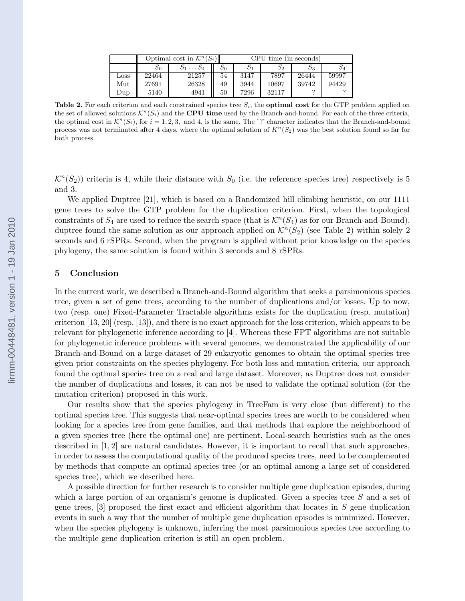|      | Optimal cost in $\mathcal{K}^n(S_i)$ |       |    | CPU<br>time (in seconds) |                 |       |       |
|------|--------------------------------------|-------|----|--------------------------|-----------------|-------|-------|
|      | $\mathcal{D}^0$                      |       | 50 |                          | $\mathcal{S}_2$ | 23    | Φ4    |
| Loss | 22464                                | 21257 | 54 | 3147                     | 7897            | 26444 | 59997 |
| Mut  | 27691                                | 26328 | 49 | 3944                     | 10697           | 39742 | 94429 |
| Dup  | 5140                                 | 4941  | 50 | 7296                     | 32117           |       |       |

**Table 2.** For each criterion and each constrained species tree  $S_i$ , the **optimal cost** for the GTP problem applied on the set of allowed solutions  $\mathcal{K}^n(S_i)$  and the **CPU time** used by the Branch-and-bound. For each of the three criteria, the optimal cost in  $\mathcal{K}^n(S_i)$ , for  $i = 1, 2, 3$ , and 4, is the same. The '?' character indicates that the Branch-and-bound process was not terminated after 4 days, where the optimal solution of  $K^n(S_2)$  was the best solution found so far for both process.

 $\mathcal{K}^n(S_2)$ ) criteria is 4, while their distance with  $S_0$  (i.e. the reference species tree) respectively is 5 and 3.

We applied Duptree [21], which is based on a Randomized hill climbing heuristic, on our 1111 gene trees to solve the GTP problem for the duplication criterion. First, when the topological constraints of  $S_4$  are used to reduce the search space (that is  $\mathcal{K}^n(S_4)$  as for our Branch-and-Bound), duptree found the same solution as our approach applied on  $\mathcal{K}^n(S_2)$  (see Table 2) within solely 2 seconds and 6 rSPRs. Second, when the program is applied without prior knowledge on the species phylogeny, the same solution is found within 3 seconds and 8 rSPRs.

### 5 Conclusion

In the current work, we described a Branch-and-Bound algorithm that seeks a parsimonious species tree, given a set of gene trees, according to the number of duplications and/or losses. Up to now, two (resp. one) Fixed-Parameter Tractable algorithms exists for the duplication (resp. mutation) criterion [13, 20] (resp. [13]), and there is no exact approach for the loss criterion, which appears to be relevant for phylogenetic inference according to [4]. Whereas these FPT algorithms are not suitable for phylogenetic inference problems with several genomes, we demonstrated the applicability of our Branch-and-Bound on a large dataset of 29 eukaryotic genomes to obtain the optimal species tree given prior constraints on the species phylogeny. For both loss and mutation criteria, our approach found the optimal species tree on a real and large dataset. Moreover, as Duptree does not consider the number of duplications and losses, it can not be used to validate the optimal solution (for the mutation criterion) proposed in this work.

Our results show that the species phylogeny in TreeFam is very close (but different) to the optimal species tree. This suggests that near-optimal species trees are worth to be considered when looking for a species tree from gene families, and that methods that explore the neighborhood of a given species tree (here the optimal one) are pertinent. Local-search heuristics such as the ones described in [1, 2] are natural candidates. However, it is important to recall that such approaches, in order to assess the computational quality of the produced species trees, need to be complemented by methods that compute an optimal species tree (or an optimal among a large set of considered species tree), which we described here.

A possible direction for further research is to consider multiple gene duplication episodes, during which a large portion of an organism's genome is duplicated. Given a species tree S and a set of gene trees,  $\lbrack 3\rbrack$  proposed the first exact and efficient algorithm that locates in S gene duplication events in such a way that the number of multiple gene duplication episodes is minimized. However, when the species phylogeny is unknown, inferring the most parsimonious species tree according to the multiple gene duplication criterion is still an open problem.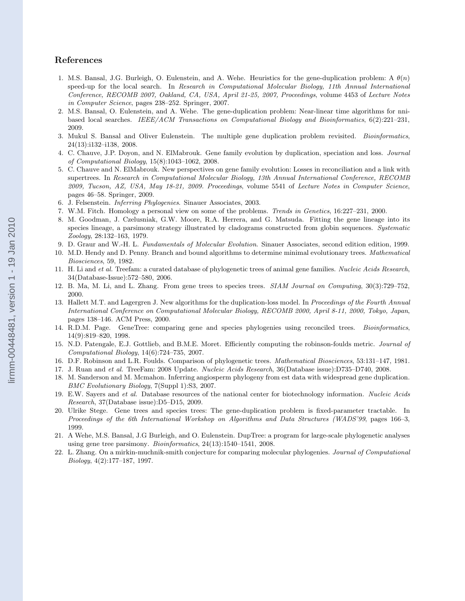# References

- 1. M.S. Bansal, J.G. Burleigh, O. Eulenstein, and A. Wehe. Heuristics for the gene-duplication problem: A  $\theta(n)$ speed-up for the local search. In Research in Computational Molecular Biology, 11th Annual International Conference, RECOMB 2007, Oakland, CA, USA, April 21-25, 2007, Proceedings, volume 4453 of Lecture Notes in Computer Science, pages 238–252. Springer, 2007.
- 2. M.S. Bansal, O. Eulenstein, and A. Wehe. The gene-duplication problem: Near-linear time algorithms for nnibased local searches. IEEE/ACM Transactions on Computational Biology and Bioinformatics, 6(2):221–231, 2009.
- 3. Mukul S. Bansal and Oliver Eulenstein. The multiple gene duplication problem revisited. Bioinformatics, 24(13):i132–i138, 2008.
- 4. C. Chauve, J.P. Doyon, and N. ElMabrouk. Gene family evolution by duplication, speciation and loss. Journal of Computational Biology, 15(8):1043–1062, 2008.
- 5. C. Chauve and N. ElMabrouk. New perspectives on gene family evolution: Losses in reconciliation and a link with supertrees. In Research in Computational Molecular Biology, 13th Annual International Conference, RECOMB 2009, Tucson, AZ, USA, May 18-21, 2009. Proceedings, volume 5541 of Lecture Notes in Computer Science, pages 46–58. Springer, 2009.
- 6. J. Felsenstein. Inferring Phylogenies. Sinauer Associates, 2003.
- 7. W.M. Fitch. Homology a personal view on some of the problems. Trends in Genetics, 16:227–231, 2000.
- 8. M. Goodman, J. Czelusniak, G.W. Moore, R.A. Herrera, and G. Matsuda. Fitting the gene lineage into its species lineage, a parsimony strategy illustrated by cladograms constructed from globin sequences. Systematic Zoology, 28:132–163, 1979.
- 9. D. Graur and W.-H. L. Fundamentals of Molecular Evolution. Sinauer Associates, second edition edition, 1999.
- 10. M.D. Hendy and D. Penny. Branch and bound algorithms to determine minimal evolutionary trees. Mathematical Biosciences, 59, 1982.
- 11. H. Li and et al. Treefam: a curated database of phylogenetic trees of animal gene families. Nucleic Acids Research, 34(Database-Issue):572–580, 2006.
- 12. B. Ma, M. Li, and L. Zhang. From gene trees to species trees. SIAM Journal on Computing, 30(3):729–752, 2000.
- 13. Hallett M.T. and Lagergren J. New algorithms for the duplication-loss model. In Proceedings of the Fourth Annual International Conference on Computational Molecular Biology, RECOMB 2000, April 8-11, 2000, Tokyo, Japan, pages 138–146. ACM Press, 2000.
- 14. R.D.M. Page. GeneTree: comparing gene and species phylogenies using reconciled trees. Bioinformatics, 14(9):819–820, 1998.
- 15. N.D. Patengale, E.J. Gottlieb, and B.M.E. Moret. Efficiently computing the robinson-foulds metric. Journal of Computational Biology, 14(6):724–735, 2007.
- 16. D.F. Robinson and L.R. Foulds. Comparison of phylogenetic trees. Mathematical Biosciences, 53:131–147, 1981.
- 17. J. Ruan and et al. TreeFam: 2008 Update. Nucleic Acids Research, 36(Database issue):D735–D740, 2008.
- 18. M. Sanderson and M. Mcmahon. Inferring angiosperm phylogeny from est data with widespread gene duplication. BMC Evolutionary Biology, 7(Suppl 1):S3, 2007.
- 19. E.W. Sayers and et al. Database resources of the national center for biotechnology information. Nucleic Acids Research, 37(Database issue):D5–D15, 2009.
- 20. Ulrike Stege. Gene trees and species trees: The gene-duplication problem is fixed-parameter tractable. In Proceedings of the 6th International Workshop on Algorithms and Data Structures (WADS'99, pages 166–3, 1999.
- 21. A Wehe, M.S. Bansal, J.G Burleigh, and O. Eulenstein. DupTree: a program for large-scale phylogenetic analyses using gene tree parsimony. *Bioinformatics*,  $24(13):1540-1541$ ,  $2008$ .
- 22. L. Zhang. On a mirkin-muchnik-smith conjecture for comparing molecular phylogenies. Journal of Computational Biology, 4(2):177–187, 1997.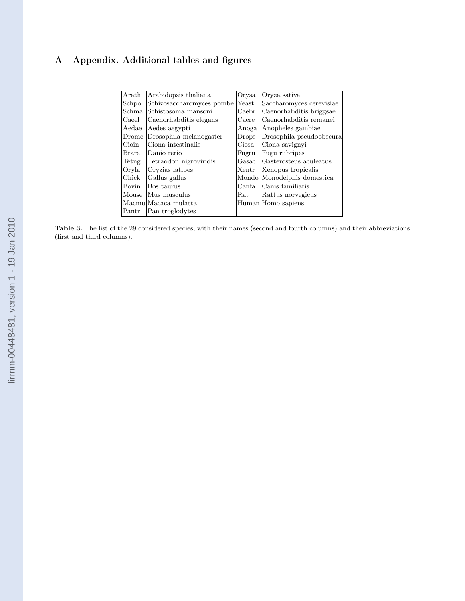# A Appendix. Additional tables and figures

| Arath        | Arabidopsis thaliana             | Orysa                | Oryza sativa                |
|--------------|----------------------------------|----------------------|-----------------------------|
| Schpo        | Schizosaccharomyces pombellYeast |                      | Saccharomyces cerevisiae    |
| Schma        | Schistosoma mansoni              | Caebr                | Caenorhabditis briggsae     |
| Caeel        | Caenorhabditis elegans           | Caere                | Caenorhabditis remanei      |
| Aedae        | Aedes aegypti                    | Anoga                | Anopheles gambiae           |
| Drome        | Drosophila melanogaster          | Drops                | Drosophila pseudoobscura    |
| Cioin        | Ciona intestinalis               | Ciosa                | Ciona savignyi              |
| <b>Brare</b> | Danio rerio                      | Fugru                | Fugu rubripes               |
| Tetng        | Tetraodon nigroviridis           | Gasac                | Gasterosteus aculeatus      |
| Oryla        | Oryzias latipes                  | Xentr                | Xenopus tropicalis          |
| Chick        | Gallus gallus                    |                      | Mondo Monodelphis domestica |
| Bovin        | Bos taurus                       | Canfa                | Canis familiaris            |
|              | Mouse Mus musculus               | $\operatorname{Rat}$ | Rattus norvegicus           |
|              | Macmu Macaca mulatta             |                      | Human Homo sapiens          |
| Pantr        | Pan troglodytes                  |                      |                             |

Table 3. The list of the 29 considered species, with their names (second and fourth columns) and their abbreviations (first and third columns).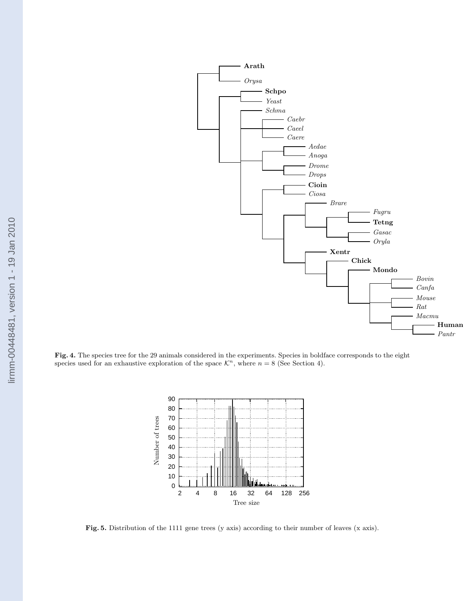

Fig. 4. The species tree for the 29 animals considered in the experiments. Species in boldface corresponds to the eight species used for an exhaustive exploration of the space  $\mathcal{K}^n$ , where  $n = 8$  (See Section 4).



Fig. 5. Distribution of the 1111 gene trees (y axis) according to their number of leaves (x axis).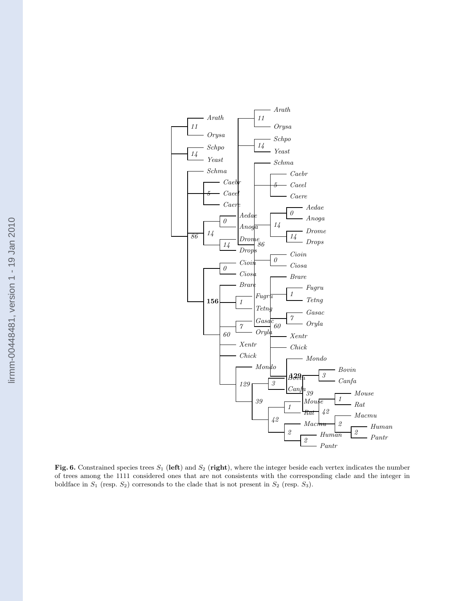

Fig. 6. Constrained species trees  $S_1$  (left) and  $S_2$  (right), where the integer beside each vertex indicates the number of trees among the 1111 considered ones that are not consistents with the corresponding clade and the integer in boldface in  $S_1$  (resp.  $S_2$ ) corresonds to the clade that is not present in  $S_2$  (resp.  $S_3$ ).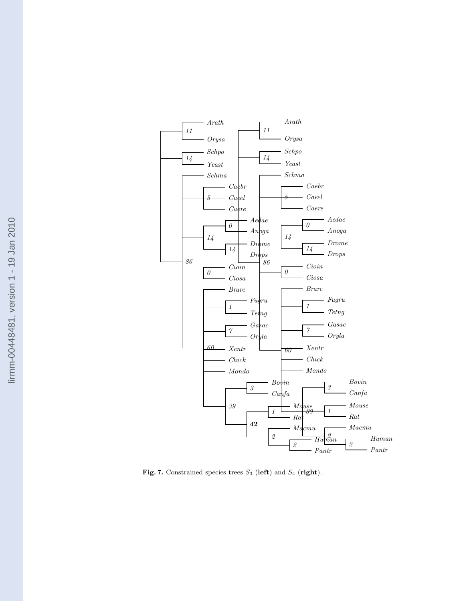

Fig. 7. Constrained species trees  $S_3$  (left) and  $S_4$  (right).